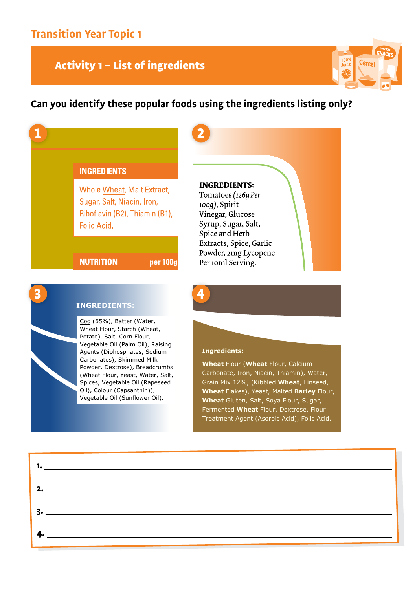### Activity 1 - List of ingredients

**I** Wheat Flour, Starch (Wheat,

Potato), Salt, Corn Flour, Vegetable Oil (Palm Oil), Raising

Edd (65%), Batter (Water,

**Condition Code (Camil Only Nation:**<br>Agents (Diphosphates, Sodium Ngents (Biphosphates) Soard, Carbonates), Skimmed Milk **Powder, Dextrose), Breadcrumbs** I swaer, Bextresey, Breaderannes<br>(Wheat Flour, Yeast, Water, Salt, Annual Prodit, Pedst, Mater, Bart, opices, regetable on (napet<br>Oil), Colour (Capsanthin)), Powder, Powder, Dextrose, Dinastic Control Control of the Control of the Control of the Control of the Control o Vegetable Oil (Sunflower Oil).<br>————————————————————



### **Can you identify these popular foods using the ingredients listing only?**

| <b>INGREDIENTS</b>                                                                                                      |          |                                                                                                                         |
|-------------------------------------------------------------------------------------------------------------------------|----------|-------------------------------------------------------------------------------------------------------------------------|
| <b>Whole Wheat, Malt Extract,</b><br>Sugar, Salt, Niacin, Iron,<br>Riboflavin (B2), Thiamin (B1),<br><b>Folic Acid.</b> |          | <b>INGREDIENTS:</b><br>Tomatoes (126g Per<br>100g), Spirit<br>Vinegar, Glucose<br>Syrup, Sugar, Salt,<br>Spice and Herb |
| <b>NUTRITION</b>                                                                                                        | per 100g | Extracts, Spice, Garlic<br>Powder, 2mg Lycopene<br>Per 10ml Serving.                                                    |

### **Ingredients:**

**Ingredients:** Grain Mix 12%, (Kibbled **Wheat**, Linseed, **Wheat** Flakes), Yeast, Malted **Barley** Flour, **Wheat** Gluten, Salt, Soya Flour, Sugar, Fermented Wheat Flour, Dextrose, Flour **Wheat** Flakes), Yeast, Malted **Barley** Flour, Treatment Agent (Asorbic Acid), Folic Acid. **Wheat** Flour (**Wheat** Flour, Calcium Carbonate, Iron, Niacin, Thiamin), Water,

| $\mathbf{1.}$ $\qquad \qquad$                                                                                                                                                                                                                                                                                                                                                         |  |
|---------------------------------------------------------------------------------------------------------------------------------------------------------------------------------------------------------------------------------------------------------------------------------------------------------------------------------------------------------------------------------------|--|
| 2.                                                                                                                                                                                                                                                                                                                                                                                    |  |
|                                                                                                                                                                                                                                                                                                                                                                                       |  |
| $\overline{4}$ . $\overline{2}$ $\overline{4}$ $\overline{4}$ $\overline{4}$ $\overline{4}$ $\overline{4}$ $\overline{4}$ $\overline{4}$ $\overline{4}$ $\overline{4}$ $\overline{4}$ $\overline{4}$ $\overline{4}$ $\overline{4}$ $\overline{4}$ $\overline{4}$ $\overline{4}$ $\overline{4}$ $\overline{4}$ $\overline{4}$ $\overline{4}$ $\overline{4}$ $\overline{4}$ $\overline$ |  |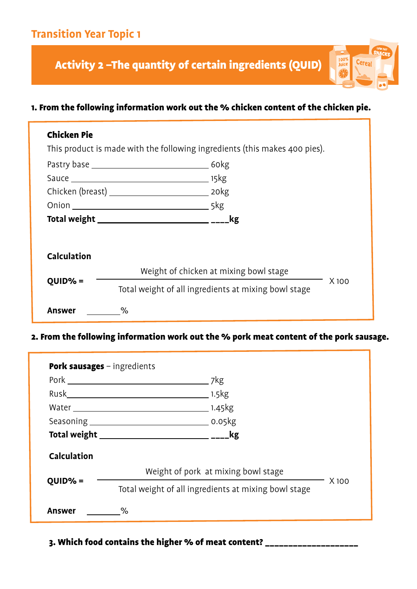Activity 2 –The quantity of certain ingredients (QUID)

### 1. From the following information work out the % chicken content of the chicken pie.

 $\frac{100\%}{\text{Juice}}$ 

Cerea

| <b>Chicken Pie</b> | This product is made with the following ingredients (this makes 400 pies). |       |  |
|--------------------|----------------------------------------------------------------------------|-------|--|
|                    |                                                                            |       |  |
|                    |                                                                            |       |  |
|                    |                                                                            |       |  |
|                    |                                                                            |       |  |
|                    | kg                                                                         |       |  |
| <b>Calculation</b> |                                                                            |       |  |
|                    | Weight of chicken at mixing bowl stage                                     |       |  |
| $QUID\% =$         | Total weight of all ingredients at mixing bowl stage                       | X 100 |  |
| Answer             | ℅                                                                          |       |  |

**Answer & Answer** 2. From the following information work out the % pork meat content of the pork sausage.

|                    |                                                      | . 7kg                               |       |
|--------------------|------------------------------------------------------|-------------------------------------|-------|
|                    |                                                      | $1.5$ kg                            |       |
|                    |                                                      | <sub>-</sub> 1.45 kg                |       |
|                    |                                                      |                                     |       |
|                    |                                                      | <u>kg</u>                           |       |
| <b>Calculation</b> |                                                      |                                     |       |
|                    |                                                      | Weight of pork at mixing bowl stage |       |
| $QUID% =$          | Total weight of all ingredients at mixing bowl stage |                                     | X 100 |
| Answer             | $\%$                                                 |                                     |       |

### 3. Which food contains the higher % of meat content? \_\_\_\_\_\_\_\_\_\_\_\_\_\_\_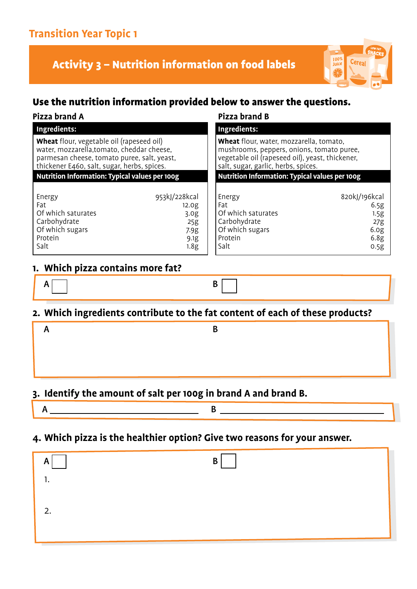# **Transition Year Topic 1**

Activity 3 – Nutrition information on food labels



### Use the nutrition information provided below to answer the questions.

| Pizza brand A                                                                                                                                                                         |                                                                                       | <b>Pizza brand B</b>                                                                                                                                                           |                                                                          |  |
|---------------------------------------------------------------------------------------------------------------------------------------------------------------------------------------|---------------------------------------------------------------------------------------|--------------------------------------------------------------------------------------------------------------------------------------------------------------------------------|--------------------------------------------------------------------------|--|
| Ingredients:                                                                                                                                                                          |                                                                                       | Ingredients:                                                                                                                                                                   |                                                                          |  |
| Wheat flour, vegetable oil (rapeseed oil)<br>water, mozzarella, tomato, cheddar cheese,<br>parmesan cheese, tomato puree, salt, yeast,<br>thickener E460, salt, sugar, herbs, spices. |                                                                                       | Wheat flour, water, mozzarella, tomato,<br>mushrooms, peppers, onions, tomato puree,<br>vegetable oil (rapeseed oil), yeast, thickener,<br>salt, sugar, garlic, herbs, spices. |                                                                          |  |
| <b>Nutrition Information: Typical values per 100g</b>                                                                                                                                 |                                                                                       | <b>Nutrition Information: Typical values per 100g</b>                                                                                                                          |                                                                          |  |
| Energy<br>Fat<br>Of which saturates<br>Carbohydrate<br>Of which sugars<br>Protein<br>Salt                                                                                             | 953kJ/228kcal<br>12.0 <sub>g</sub><br>3.0 <sub>g</sub><br>25g<br>7.9g<br>9.1g<br>1.8g | Energy<br>Fat<br>Of which saturates<br>Carbohydrate<br>Of which sugars<br>Protein<br>Salt                                                                                      | 820kJ/196kcal<br>6.5g<br>1.5g<br>27g<br>6.0 <sub>g</sub><br>6.8g<br>0.5g |  |

### **2. Which ingredients contribute to the fat content of each of these products?** A B

### **3. Identify the amount of salt per 100g in brand A and brand B.**

**3. Identify the amount of salt per 100g in brand A and brand B.**

 $A$   $B$ 

### **4. Which pizza is the healthier option? Give two reasons for your answer.** A B

| B<br>A<br>п.<br>٠. |  |
|--------------------|--|
| 2.                 |  |